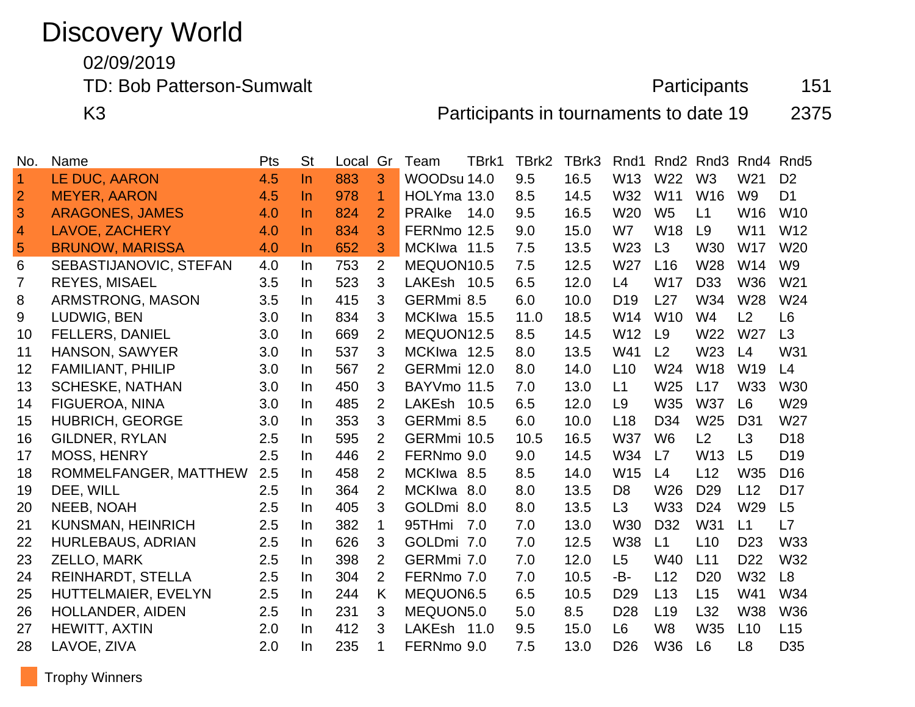# Discovery World

02/09/2019

TD: Bob Patterson-Sumwalt **Participants** 151

K3 Participants in tournaments to date 19 2375

| No.            | Name                     | Pts | <b>St</b> | Local | Gr             | Team          | TBrk1 | TBrk2 | TBrk3 | Rnd1            | Rnd <sub>2</sub> | Rnd <sub>3</sub> | Rnd4            | Rnd <sub>5</sub> |
|----------------|--------------------------|-----|-----------|-------|----------------|---------------|-------|-------|-------|-----------------|------------------|------------------|-----------------|------------------|
| $\mathbf{1}$   | LE DUC, AARON            | 4.5 | $\ln$     | 883   | 3              | WOODsu 14.0   |       | 9.5   | 16.5  | W13             | W22              | W <sub>3</sub>   | W <sub>21</sub> | D <sub>2</sub>   |
| $\overline{2}$ | <b>MEYER, AARON</b>      | 4.5 | <u>In</u> | 978   | $\mathbf{1}$   | HOLYma 13.0   |       | 8.5   | 14.5  | W32             | W11              | W16              | W <sub>9</sub>  | D <sub>1</sub>   |
| 3              | <b>ARAGONES, JAMES</b>   | 4.0 | $\ln$     | 824   | $\overline{2}$ | <b>PRAIke</b> | 14.0  | 9.5   | 16.5  | W <sub>20</sub> | W <sub>5</sub>   | L1               | W16             | W <sub>10</sub>  |
| $\overline{4}$ | <b>LAVOE, ZACHERY</b>    | 4.0 | In.       | 834   | 3              | FERNmo 12.5   |       | 9.0   | 15.0  | W7              | W <sub>18</sub>  | L9               | W11             | W12              |
| $\overline{5}$ | <b>BRUNOW, MARISSA</b>   | 4.0 | <u>In</u> | 652   | 3              | MCKIwa 11.5   |       | 7.5   | 13.5  | W <sub>23</sub> | L3               | W30              | W17             | W <sub>20</sub>  |
| 6              | SEBASTIJANOVIC, STEFAN   | 4.0 | In.       | 753   | $\overline{2}$ | MEQUON10.5    |       | 7.5   | 12.5  | W27             | L16              | W28              | W14             | W <sub>9</sub>   |
| $\overline{7}$ | <b>REYES, MISAEL</b>     | 3.5 | In.       | 523   | 3              | LAKEsh 10.5   |       | 6.5   | 12.0  | L4              | <b>W17</b>       | D <sub>33</sub>  | <b>W36</b>      | W <sub>21</sub>  |
| 8              | ARMSTRONG, MASON         | 3.5 | In.       | 415   | 3              | GERMmi 8.5    |       | 6.0   | 10.0  | D <sub>19</sub> | L27              | W34              | W28             | W24              |
| 9              | LUDWIG, BEN              | 3.0 | In        | 834   | 3              | MCKIwa 15.5   |       | 11.0  | 18.5  | W14             | W <sub>10</sub>  | W4               | L2              | L <sub>6</sub>   |
| 10             | <b>FELLERS, DANIEL</b>   | 3.0 | In.       | 669   | $\overline{2}$ | MEQUON12.5    |       | 8.5   | 14.5  | W <sub>12</sub> | L9               | W22              | W27             | L3               |
| 11             | <b>HANSON, SAWYER</b>    | 3.0 | In.       | 537   | 3              | MCKIwa 12.5   |       | 8.0   | 13.5  | W41             | L <sub>2</sub>   | W23              | L4              | W31              |
| 12             | <b>FAMILIANT, PHILIP</b> | 3.0 | In.       | 567   | 2              | GERMmi 12.0   |       | 8.0   | 14.0  | L10             | W24              | <b>W18</b>       | W19             | L4               |
| 13             | <b>SCHESKE, NATHAN</b>   | 3.0 | In.       | 450   | 3              | BAYVmo 11.5   |       | 7.0   | 13.0  | L1              | W25              | L17              | <b>W33</b>      | W30              |
| 14             | <b>FIGUEROA, NINA</b>    | 3.0 | In.       | 485   | $\overline{2}$ | LAKEsh        | 10.5  | 6.5   | 12.0  | L <sub>9</sub>  | W35              | <b>W37</b>       | L <sub>6</sub>  | W29              |
| 15             | <b>HUBRICH, GEORGE</b>   | 3.0 | In        | 353   | 3              | GERMmi 8.5    |       | 6.0   | 10.0  | L <sub>18</sub> | D34              | W <sub>25</sub>  | D <sub>31</sub> | W27              |
| 16             | <b>GILDNER, RYLAN</b>    | 2.5 | In.       | 595   | $\overline{2}$ | GERMmi 10.5   |       | 10.5  | 16.5  | <b>W37</b>      | W <sub>6</sub>   | L2               | L3              | D <sub>18</sub>  |
| 17             | <b>MOSS, HENRY</b>       | 2.5 | In.       | 446   | $\overline{2}$ | FERNmo 9.0    |       | 9.0   | 14.5  | W34             | L7               | W <sub>13</sub>  | L5              | D <sub>19</sub>  |
| 18             | ROMMELFANGER, MATTHEW    | 2.5 | In.       | 458   | $\overline{2}$ | MCKIwa 8.5    |       | 8.5   | 14.0  | W15             | L4               | L12              | W35             | D <sub>16</sub>  |
| 19             | DEE, WILL                | 2.5 | In        | 364   | $\overline{2}$ | MCKIwa 8.0    |       | 8.0   | 13.5  | D <sub>8</sub>  | W26              | D <sub>29</sub>  | L12             | D <sub>17</sub>  |
| 20             | <b>NEEB, NOAH</b>        | 2.5 | In.       | 405   | 3              | GOLDmi 8.0    |       | 8.0   | 13.5  | L3              | <b>W33</b>       | D <sub>24</sub>  | W29             | L5               |
| 21             | KUNSMAN, HEINRICH        | 2.5 | In.       | 382   | 1              | 95THmi        | 7.0   | 7.0   | 13.0  | <b>W30</b>      | D32              | W31              | L1              | L7               |
| 22             | <b>HURLEBAUS, ADRIAN</b> | 2.5 | In        | 626   | 3              | GOLDmi 7.0    |       | 7.0   | 12.5  | <b>W38</b>      | L1               | L10              | D <sub>23</sub> | W33              |
| 23             | ZELLO, MARK              | 2.5 | In.       | 398   | $\overline{2}$ | GERMmi 7.0    |       | 7.0   | 12.0  | L5              | W40              | L11              | D <sub>22</sub> | W32              |
| 24             | <b>REINHARDT, STELLA</b> | 2.5 | In.       | 304   | $\overline{2}$ | FERNmo 7.0    |       | 7.0   | 10.5  | -B-             | L12              | D <sub>20</sub>  | W32             | L8               |
| 25             | HUTTELMAIER, EVELYN      | 2.5 | In.       | 244   | Κ              | MEQUON6.5     |       | 6.5   | 10.5  | D <sub>29</sub> | L13              | L15              | W41             | W34              |
| 26             | <b>HOLLANDER, AIDEN</b>  | 2.5 | In.       | 231   | 3              | MEQUON5.0     |       | 5.0   | 8.5   | D <sub>28</sub> | L19              | L32              | <b>W38</b>      | W36              |
| 27             | <b>HEWITT, AXTIN</b>     | 2.0 | In.       | 412   | 3              | LAKEsh        | 11.0  | 9.5   | 15.0  | L <sub>6</sub>  | W <sub>8</sub>   | W35              | L10             | L15              |
| 28             | LAVOE, ZIVA              | 2.0 | In.       | 235   | 1              | FERNmo 9.0    |       | 7.5   | 13.0  | D <sub>26</sub> | W36              | L <sub>6</sub>   | L <sub>8</sub>  | D <sub>35</sub>  |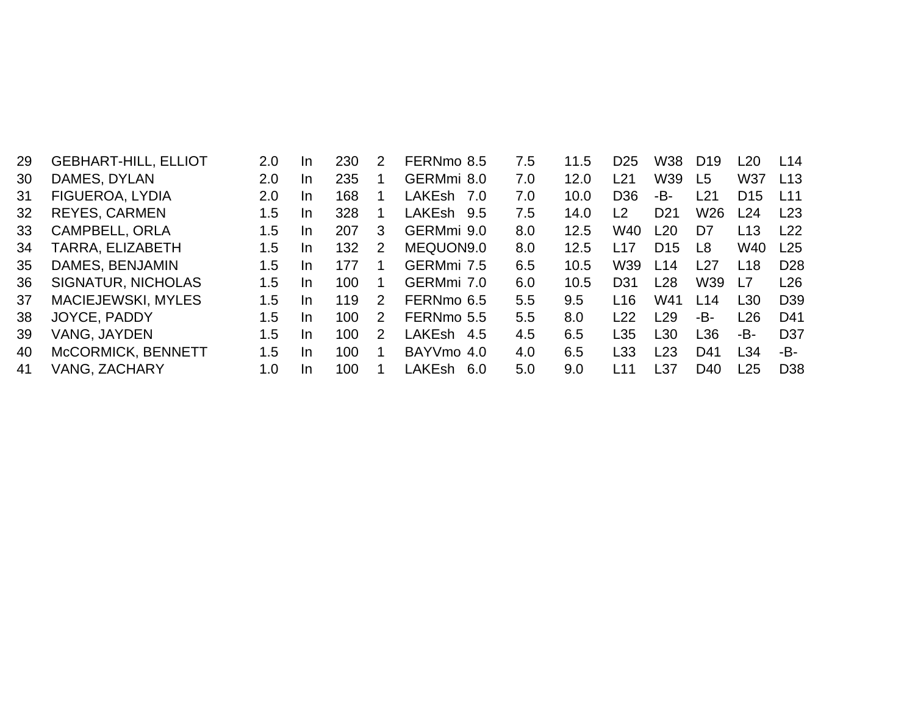| 29 | <b>GEBHART-HILL, ELLIOT</b> | 2.0 | <b>In</b> | 230 | 2 | FERNmo 8.5            | 7.5 | 11.5 | D <sub>25</sub> | W38             | D <sub>19</sub> | L <sub>20</sub> | L14             |
|----|-----------------------------|-----|-----------|-----|---|-----------------------|-----|------|-----------------|-----------------|-----------------|-----------------|-----------------|
| 30 | DAMES, DYLAN                | 2.0 | <b>In</b> | 235 |   | GERMmi 8.0            | 7.0 | 12.0 | L21             | W39             | L <sub>5</sub>  | W37             | L13             |
| 31 | FIGUEROA, LYDIA             | 2.0 | In.       | 168 |   | LAKEsh<br>7.O         | 7.0 | 10.0 | D <sub>36</sub> | -В-             | L21             | D <sub>15</sub> | L <sub>11</sub> |
| 32 | <b>REYES, CARMEN</b>        | 1.5 | <b>In</b> | 328 |   | LAKEsh 9.5            | 7.5 | 14.0 | L2              | D <sub>21</sub> | W <sub>26</sub> | L24             | L23             |
| 33 | <b>CAMPBELL, ORLA</b>       | 1.5 | -In       | 207 | 3 | GERMmi 9.0            | 8.0 | 12.5 | W40             | L20             | D7              | L13             | L22             |
| 34 | TARRA, ELIZABETH            | 1.5 | <b>In</b> | 132 | 2 | MEQUON9.0             | 8.0 | 12.5 | L17             | D <sub>15</sub> | L8              | W40             | L25             |
| 35 | DAMES, BENJAMIN             | 1.5 | <b>In</b> | 177 |   | GERMmi 7.5            | 6.5 | 10.5 | W39             | L14             | L27             | L18             | D <sub>28</sub> |
| 36 | SIGNATUR, NICHOLAS          | 1.5 | <b>In</b> | 100 |   | GERMmi 7.0            | 6.0 | 10.5 | D31             | L28             | W39             | L7              | L26             |
| 37 | <b>MACIEJEWSKI, MYLES</b>   | 1.5 | In.       | 119 | 2 | FERNmo 6.5            | 5.5 | 9.5  | L <sub>16</sub> | W41             | L14             | L <sub>30</sub> | D <sub>39</sub> |
| 38 | JOYCE, PADDY                | 1.5 | <b>In</b> | 100 | 2 | FERNmo 5.5            | 5.5 | 8.0  | L22             | $-29$           | -B-             | L26             | D41             |
| 39 | VANG, JAYDEN                | 1.5 | In.       | 100 | 2 | <b>LAKEsh</b><br>-4.5 | 4.5 | 6.5  | L35             | L30             | L36             | -B-             | D <sub>37</sub> |
| 40 | McCORMICK, BENNETT          | 1.5 | In.       | 100 |   | BAYVmo 4.0            | 4.0 | 6.5  | L33             | L23             | D41             | L34             | -B-             |
| 41 | VANG, ZACHARY               | 1.0 | -In       | 100 |   | LAKEsh<br>-6.0        | 5.0 | 9.0  | l 11            | L37             | D <sub>40</sub> | L25             | D <sub>38</sub> |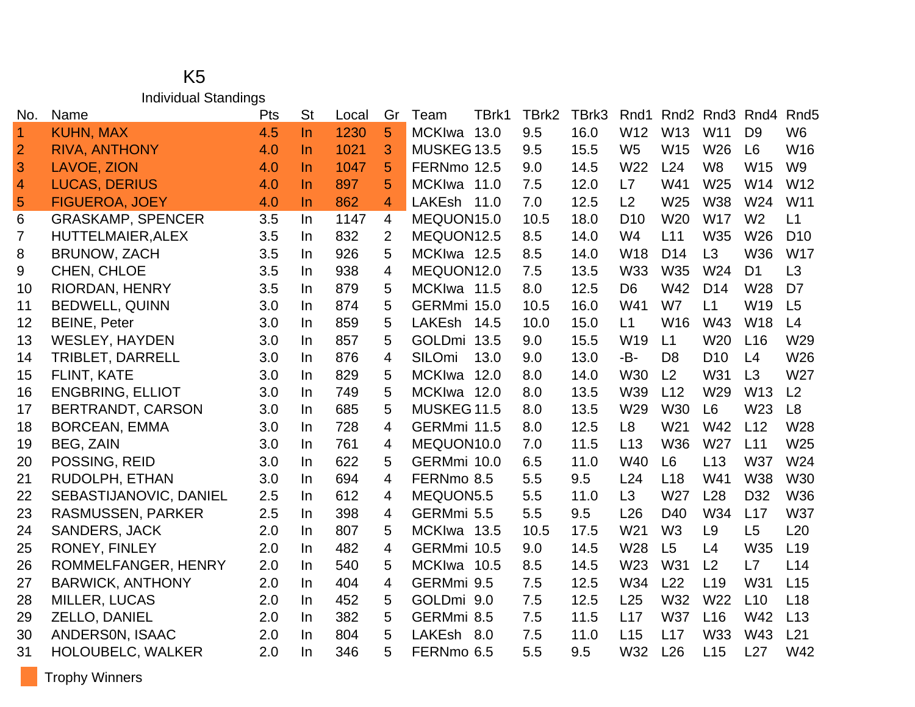#### K5 Individual Standings

| No.            | Name                     | Pts | <b>St</b> | Local | Gr             | Team                  | TBrk1 | TBrk2 | TBrk3 | Rnd1            | Rnd <sub>2</sub> | Rnd <sub>3</sub> Rnd <sub>4</sub> |                 | Rnd <sub>5</sub> |
|----------------|--------------------------|-----|-----------|-------|----------------|-----------------------|-------|-------|-------|-----------------|------------------|-----------------------------------|-----------------|------------------|
| $\overline{1}$ | <b>KUHN, MAX</b>         | 4.5 | $\ln$     | 1230  | 5              | MCKIwa 13.0           |       | 9.5   | 16.0  | W12             | W13              | W11                               | D <sub>9</sub>  | W <sub>6</sub>   |
| $\overline{2}$ | <b>RIVA, ANTHONY</b>     | 4.0 | $\ln$     | 1021  | 3              | MUSKEG 13.5           |       | 9.5   | 15.5  | W <sub>5</sub>  | W15              | W <sub>26</sub>                   | L <sub>6</sub>  | W16              |
| 3              | <b>LAVOE, ZION</b>       | 4.0 | In.       | 1047  | 5              | FERNmo 12.5           |       | 9.0   | 14.5  | W22             | L24              | W <sub>8</sub>                    | W <sub>15</sub> | W <sub>9</sub>   |
| $\overline{a}$ | <b>LUCAS, DERIUS</b>     | 4.0 | $\ln$     | 897   | 5              | MCKIwa 11.0           |       | 7.5   | 12.0  | L7              | W41              | W25                               | W14             | W12              |
| $\overline{5}$ | <b>FIGUEROA, JOEY</b>    | 4.0 | In.       | 862   | 4              | LAKEsh 11.0           |       | 7.0   | 12.5  | L2              | W25              | W38                               | W24             | W11              |
| 6              | <b>GRASKAMP, SPENCER</b> | 3.5 | In.       | 1147  | $\overline{4}$ | MEQUON15.0            |       | 10.5  | 18.0  | D <sub>10</sub> | W20              | <b>W17</b>                        | W <sub>2</sub>  | L1               |
| 7              | <b>HUTTELMAIER, ALEX</b> | 3.5 | In.       | 832   | $\overline{2}$ | MEQUON12.5            |       | 8.5   | 14.0  | W4              | L11              | W35                               | W26             | D <sub>10</sub>  |
| 8              | <b>BRUNOW, ZACH</b>      | 3.5 | In.       | 926   | 5              | MCKIwa 12.5           |       | 8.5   | 14.0  | <b>W18</b>      | D <sub>14</sub>  | L3                                | W36             | <b>W17</b>       |
| 9              | CHEN, CHLOE              | 3.5 | In.       | 938   | 4              | MEQUON12.0            |       | 7.5   | 13.5  | W33             | W35              | W24                               | D <sub>1</sub>  | L3               |
| 10             | RIORDAN, HENRY           | 3.5 | In.       | 879   | 5              | MCKIwa 11.5           |       | 8.0   | 12.5  | D <sub>6</sub>  | W42              | D <sub>14</sub>                   | W28             | D <sub>7</sub>   |
| 11             | <b>BEDWELL, QUINN</b>    | 3.0 | In.       | 874   | 5              | GERMmi 15.0           |       | 10.5  | 16.0  | W41             | W7               | L1                                | W19             | L <sub>5</sub>   |
| 12             | <b>BEINE, Peter</b>      | 3.0 | In.       | 859   | 5              | LAKEsh 14.5           |       | 10.0  | 15.0  | L1              | W16              | W43                               | <b>W18</b>      | L4               |
| 13             | <b>WESLEY, HAYDEN</b>    | 3.0 | In.       | 857   | 5              | GOLDmi 13.5           |       | 9.0   | 15.5  | W19             | L1               | W20                               | L16             | W29              |
| 14             | TRIBLET, DARRELL         | 3.0 | In.       | 876   | 4              | <b>SILOmi</b><br>13.0 |       | 9.0   | 13.0  | -B-             | D <sub>8</sub>   | D <sub>10</sub>                   | L4              | W26              |
| 15             | FLINT, KATE              | 3.0 | In.       | 829   | 5              | <b>MCKIwa</b><br>12.0 |       | 8.0   | 14.0  | <b>W30</b>      | L2               | W31                               | L3              | W27              |
| 16             | <b>ENGBRING, ELLIOT</b>  | 3.0 | In.       | 749   | 5              | MCKIwa 12.0           |       | 8.0   | 13.5  | W39             | L12              | W <sub>29</sub>                   | W13             | L <sub>2</sub>   |
| 17             | BERTRANDT, CARSON        | 3.0 | In.       | 685   | 5              | MUSKEG11.5            |       | 8.0   | 13.5  | W29             | <b>W30</b>       | L <sub>6</sub>                    | W23             | L <sub>8</sub>   |
| 18             | <b>BORCEAN, EMMA</b>     | 3.0 | In.       | 728   | $\overline{4}$ | GERMmi 11.5           |       | 8.0   | 12.5  | L <sub>8</sub>  | W21              | W42                               | L12             | W28              |
| 19             | <b>BEG, ZAIN</b>         | 3.0 | In.       | 761   | 4              | MEQUON10.0            |       | 7.0   | 11.5  | L13             | <b>W36</b>       | W27                               | L11             | W25              |
| 20             | POSSING, REID            | 3.0 | In.       | 622   | 5              | GERMmi 10.0           |       | 6.5   | 11.0  | W40             | L <sub>6</sub>   | L13                               | <b>W37</b>      | W24              |
| 21             | RUDOLPH, ETHAN           | 3.0 | In.       | 694   | 4              | FERNmo 8.5            |       | 5.5   | 9.5   | L24             | L <sub>18</sub>  | W41                               | W38             | W30              |
| 22             | SEBASTIJANOVIC, DANIEL   | 2.5 | In.       | 612   | 4              | MEQUON5.5             |       | 5.5   | 11.0  | L3              | W27              | L28                               | D32             | <b>W36</b>       |
| 23             | <b>RASMUSSEN, PARKER</b> | 2.5 | In.       | 398   | 4              | GERMmi 5.5            |       | 5.5   | 9.5   | L26             | D40              | W34                               | L17             | <b>W37</b>       |
| 24             | <b>SANDERS, JACK</b>     | 2.0 | In.       | 807   | 5              | MCKIwa 13.5           |       | 10.5  | 17.5  | W21             | W <sub>3</sub>   | L <sub>9</sub>                    | L5              | L20              |
| 25             | RONEY, FINLEY            | 2.0 | In.       | 482   | 4              | GERMmi 10.5           |       | 9.0   | 14.5  | W28             | L <sub>5</sub>   | L4                                | W35             | L19              |
| 26             | ROMMELFANGER, HENRY      | 2.0 | In.       | 540   | 5              | MCKIwa 10.5           |       | 8.5   | 14.5  | W23             | W31              | L2                                | L7              | L14              |
| 27             | <b>BARWICK, ANTHONY</b>  | 2.0 | In.       | 404   | 4              | GERMmi 9.5            |       | 7.5   | 12.5  | W34             | L22              | L <sub>19</sub>                   | W31             | L15              |
| 28             | <b>MILLER, LUCAS</b>     | 2.0 | In.       | 452   | 5              | GOLDmi 9.0            |       | 7.5   | 12.5  | L25             | W32              | W22                               | L10             | L18              |
| 29             | ZELLO, DANIEL            | 2.0 | In.       | 382   | 5              | GERMmi 8.5            |       | 7.5   | 11.5  | L17             | <b>W37</b>       | L16                               | W42             | L13              |
| 30             | ANDERSON, ISAAC          | 2.0 | In.       | 804   | 5              | LAKEsh<br>8.0         |       | 7.5   | 11.0  | L15             | L17              | W33                               | W43             | L21              |
| 31             | HOLOUBELC, WALKER        | 2.0 | In.       | 346   | 5              | FERNmo 6.5            |       | 5.5   | 9.5   | W32             | L26              | L15                               | L27             | W42              |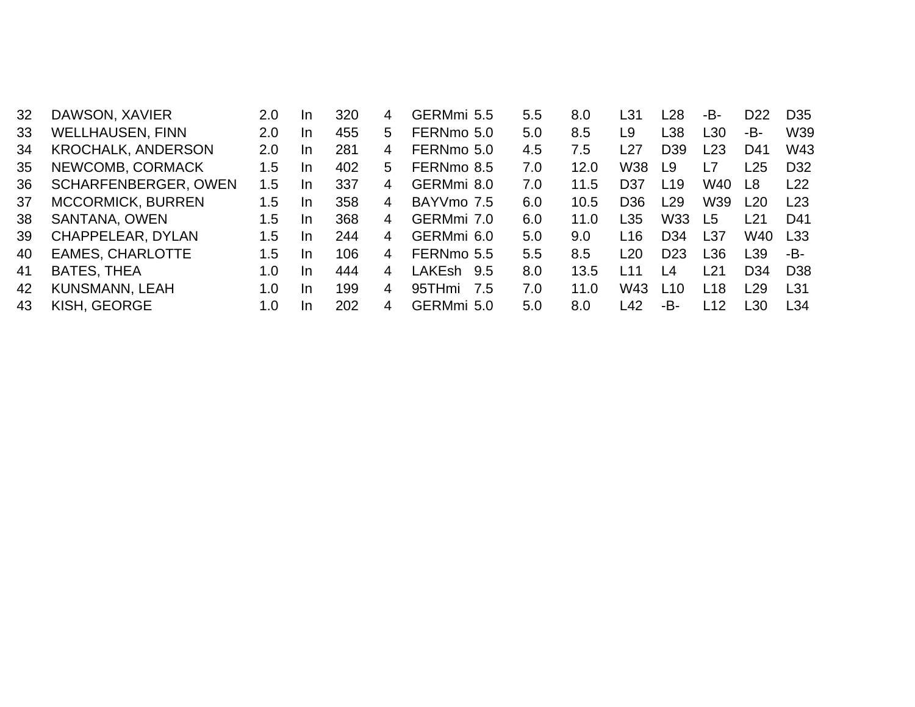| DAWSON, XAVIER              | 2.0 | <b>In</b> | 320 | 4              | GERMmi 5.5    | 5.5 | 8.0  | L31             | L28                      | -B-             | D <sub>22</sub> | D <sub>35</sub> |
|-----------------------------|-----|-----------|-----|----------------|---------------|-----|------|-----------------|--------------------------|-----------------|-----------------|-----------------|
| <b>WELLHAUSEN, FINN</b>     | 2.0 | In.       | 455 | 5.             | FERNmo 5.0    | 5.0 | 8.5  | L <sub>9</sub>  | L38                      | L30             | -В-             | W39             |
| <b>KROCHALK, ANDERSON</b>   | 2.0 | In.       | 281 | 4              | FERNmo 5.0    | 4.5 | 7.5  | L27             | D <sub>39</sub>          | L23             | D41             | W43             |
| NEWCOMB, CORMACK            | 1.5 | In.       | 402 | 5.             | FERNmo 8.5    | 7.0 | 12.0 | W38             | L9                       | L7              | L25             | D <sub>32</sub> |
| <b>SCHARFENBERGER, OWEN</b> | 1.5 | In.       | 337 | 4              | GERMmi 8.0    | 7.0 | 11.5 | D37             | L19                      | W40             | L8              | L22             |
| <b>MCCORMICK, BURREN</b>    | 1.5 | In.       | 358 | $\overline{4}$ | BAYVmo 7.5    | 6.0 | 10.5 | D36             | L29                      | W39             | L20             | L23             |
| SANTANA, OWEN               | 1.5 | In.       | 368 | 4              | GERMmi 7.0    | 6.0 | 11.0 | L35             | W33                      | L5              | l 21            | D41             |
| CHAPPELEAR, DYLAN           | 1.5 | In.       | 244 | 4              | GERMmi 6.0    | 5.0 | 9.0  | L <sub>16</sub> | D <sub>34</sub>          | L37             | W40             | L33             |
| <b>EAMES, CHARLOTTE</b>     | 1.5 | In.       | 106 | 4              | FERNmo 5.5    | 5.5 | 8.5  | L20             | D <sub>23</sub>          | L36             | L39             | -B-             |
| <b>BATES, THEA</b>          | 1.0 | <b>In</b> | 444 | 4              | LAKEsh<br>9.5 | 8.0 | 13.5 | l 11            | $\overline{\mathcal{A}}$ | L21             | D <sub>34</sub> | D <sub>38</sub> |
| <b>KUNSMANN, LEAH</b>       | 1.0 | In.       | 199 | 4              | 95THmi<br>7.5 | 7.0 | 11.0 | W43             | l 10                     | L <sub>18</sub> | l 29            | L31             |
| KISH, GEORGE                | 1.0 | <b>In</b> | 202 | 4              | GERMmi 5.0    | 5.0 | 8.0  | L42             | -В-                      | L12             | L30             | L34             |
|                             |     |           |     |                |               |     |      |                 |                          |                 |                 |                 |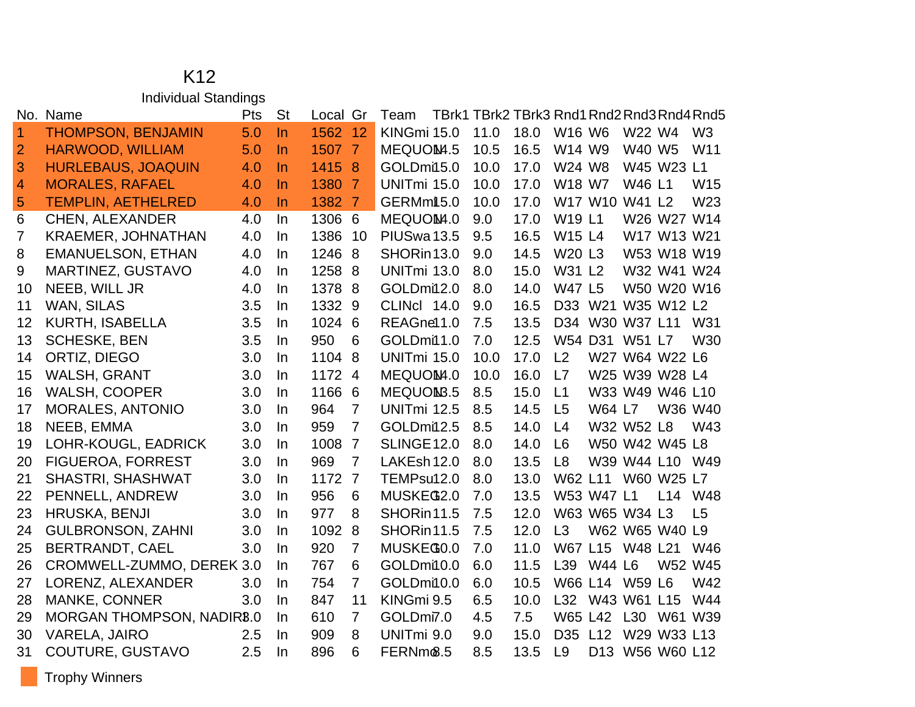#### K12 Individual Standings

|                | No. Name                         | Pts | <b>St</b> | Local Gr |                | Team                 | TBrk1 TBrk2 TBrk3 Rnd1 Rnd2 Rnd3 Rnd4 Rnd5 |      |                                |               |                 |                    |                 |
|----------------|----------------------------------|-----|-----------|----------|----------------|----------------------|--------------------------------------------|------|--------------------------------|---------------|-----------------|--------------------|-----------------|
| $\mathbf 1$    | <b>THOMPSON, BENJAMIN</b>        | 5.0 | $\ln$     | 1562 12  |                | KINGmi 15.0          | 11.0                                       | 18.0 | W <sub>16</sub> W <sub>6</sub> |               | W22 W4          |                    | W <sub>3</sub>  |
| $\overline{2}$ | <b>HARWOOD, WILLIAM</b>          | 5.0 | $\ln$     | 1507 7   |                | MEQUOM4.5            | 10.5                                       | 16.5 | W14 W9                         |               | W40 W5          |                    | W <sub>11</sub> |
| 3              | <b>HURLEBAUS, JOAQUIN</b>        | 4.0 | <b>In</b> | 1415 8   |                | GOLDmi15.0           | 10.0                                       | 17.0 | W24 W8                         |               |                 | W45 W23 L1         |                 |
| 4              | <b>MORALES, RAFAEL</b>           | 4.0 | $\ln$     | 1380 7   |                | UNITmi 15.0          | 10.0                                       | 17.0 | W18 W7                         |               | W46 L1          |                    | W <sub>15</sub> |
| 5              | <b>TEMPLIN, AETHELRED</b>        | 4.0 | <b>In</b> | 1382 7   |                | GERMmit 5.0          | 10.0                                       | 17.0 |                                |               | W17 W10 W41 L2  |                    | W <sub>23</sub> |
| 6              | <b>CHEN, ALEXANDER</b>           | 4.0 | In        | 1306 6   |                | MEQUOM4.0            | 9.0                                        | 17.0 | <b>W19 L1</b>                  |               |                 | W26 W27 W14        |                 |
| $\overline{7}$ | <b>KRAEMER, JOHNATHAN</b>        | 4.0 | In.       | 1386 10  |                | PIUSwa 13.5          | 9.5                                        | 16.5 | W15 L4                         |               |                 | W17 W13 W21        |                 |
| 8              | <b>EMANUELSON, ETHAN</b>         | 4.0 | In        | 1246 8   |                | SHORin 13.0          | 9.0                                        | 14.5 | W20 L3                         |               |                 | W53 W18 W19        |                 |
| 9              | MARTINEZ, GUSTAVO                | 4.0 | In.       | 1258 8   |                | UNITmi 13.0          | 8.0                                        | 15.0 | W31 L2                         |               |                 | W32 W41 W24        |                 |
| 10             | NEEB, WILL JR                    | 4.0 | In        | 1378 8   |                | GOLDmi12.0           | 8.0                                        | 14.0 | <b>W47 L5</b>                  |               |                 | W50 W20 W16        |                 |
| 11             | <b>WAN, SILAS</b>                | 3.5 | In.       | 1332 9   |                | CLINCI 14.0          | 9.0                                        | 16.5 | D33                            |               |                 | W21 W35 W12 L2     |                 |
| 12             | <b>KURTH, ISABELLA</b>           | 3.5 | In.       | 1024 6   |                | REAGnel 1.0          | 7.5                                        | 13.5 | D34                            |               | W30 W37 L11     |                    | W31             |
| 13             | <b>SCHESKE, BEN</b>              | 3.5 | In.       | 950      | 6              | GOLDmi11.0           | 7.0                                        | 12.5 |                                |               | W54 D31 W51 L7  |                    | W30             |
| 14             | ORTIZ, DIEGO                     | 3.0 | In        | 1104 8   |                | UNITmi 15.0          | 10.0                                       | 17.0 | L2                             |               |                 | W27 W64 W22 L6     |                 |
| 15             | WALSH, GRANT                     | 3.0 | In        | 1172 4   |                | MEQUOM4.0            | 10.0                                       | 16.0 | L7                             |               |                 | W25 W39 W28 L4     |                 |
| 16             | <b>WALSH, COOPER</b>             | 3.0 | In        | 1166 6   |                | MEQUOMB.5            | 8.5                                        | 15.0 | L1                             |               |                 | W33 W49 W46 L10    |                 |
| 17             | <b>MORALES, ANTONIO</b>          | 3.0 | $\ln$     | 964      | $\overline{7}$ | <b>UNITmi 12.5</b>   | 8.5                                        | 14.5 | L <sub>5</sub>                 | W64 L7        |                 | W36 W40            |                 |
| 18             | NEEB, EMMA                       | 3.0 | In        | 959      | $\overline{7}$ | GOLDmi12.5           | 8.5                                        | 14.0 | L4                             |               | W32 W52 L8      |                    | W43             |
| 19             | LOHR-KOUGL, EADRICK              | 3.0 | In        | 1008     | $\overline{7}$ | <b>SLINGE 12.0</b>   | 8.0                                        | 14.0 | L <sub>6</sub>                 |               |                 | W50 W42 W45 L8     |                 |
| 20             | <b>FIGUEROA, FORREST</b>         | 3.0 | In.       | 969      | $\overline{7}$ | LAKEsh 12.0          | 8.0                                        | 13.5 | L8                             |               |                 | W39 W44 L10 W49    |                 |
| 21             | <b>SHASTRI, SHASHWAT</b>         | 3.0 | In        | 1172 7   |                | TEMPsu12.0           | 8.0                                        | 13.0 |                                |               |                 | W62 L11 W60 W25 L7 |                 |
| 22             | PENNELL, ANDREW                  | 3.0 | In        | 956      | 6              | MUSKEG2.0            | 7.0                                        | 13.5 |                                | W53 W47 L1    |                 | L14 W48            |                 |
| 23             | <b>HRUSKA, BENJI</b>             | 3.0 | In.       | 977      | 8              | SHORin11.5           | 7.5                                        | 12.0 |                                |               | W63 W65 W34 L3  |                    | L <sub>5</sub>  |
| 24             | <b>GULBRONSON, ZAHNI</b>         | 3.0 | In.       | 1092 8   |                | SHORin11.5           | 7.5                                        | 12.0 | L3                             |               |                 | W62 W65 W40 L9     |                 |
| 25             | <b>BERTRANDT, CAEL</b>           | 3.0 | In        | 920      | $\overline{7}$ | MUSKEG0.0            | 7.0                                        | 11.0 |                                |               | W67 L15 W48 L21 |                    | W46             |
| 26             | CROMWELL-ZUMMO, DEREK 3.0        |     | In.       | 767      | 6              | GOLDmi10.0           | 6.0                                        | 11.5 | L39                            | <b>W44 L6</b> |                 | W52 W45            |                 |
| 27             | LORENZ, ALEXANDER                | 3.0 | In.       | 754      | $\overline{7}$ | GOLDmi10.0           | 6.0                                        | 10.5 |                                |               | W66 L14 W59 L6  |                    | W42             |
| 28             | <b>MANKE, CONNER</b>             | 3.0 | In.       | 847      | 11             | KINGmi 9.5           | 6.5                                        | 10.0 | L32                            |               | W43 W61 L15     |                    | W44             |
| 29             | <b>MORGAN THOMPSON, NADIR8.0</b> |     | In        | 610      | $\overline{7}$ | GOLDmi7.0            | 4.5                                        | 7.5  | W65 L42                        |               | L30             | W61 W39            |                 |
| 30             | <b>VARELA, JAIRO</b>             | 2.5 | In.       | 909      | 8              | UNITmi 9.0           | 9.0                                        | 15.0 | D <sub>35</sub>                | L12           |                 | W29 W33 L13        |                 |
| 31             | COUTURE, GUSTAVO                 | 2.5 | In        | 896      | 6              | FERNm <sup>®.5</sup> | 8.5                                        | 13.5 | L9                             |               |                 | D13 W56 W60 L12    |                 |

Trophy Winners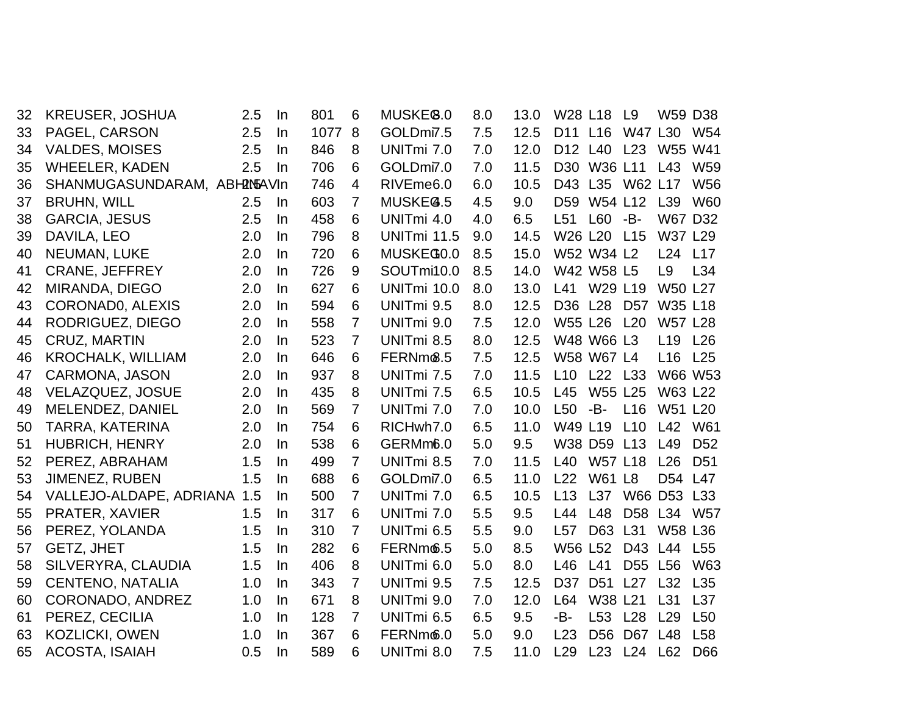| 32 | KREUSER, JOSHUA              | 2.5 | In        | 801  | 6              | MUSKE <sup>8.0</sup>  | 8.0 | 13.0 | W28 L18         |                 | L9              | <b>W59 D38</b>  |                 |
|----|------------------------------|-----|-----------|------|----------------|-----------------------|-----|------|-----------------|-----------------|-----------------|-----------------|-----------------|
| 33 | PAGEL, CARSON                | 2.5 | In        | 1077 | 8              | GOLDmi7.5             | 7.5 | 12.5 | D11 L16         |                 | W47 L30         |                 | W <sub>54</sub> |
| 34 | <b>VALDES, MOISES</b>        | 2.5 | In        | 846  | 8              | UNITmi 7.0            | 7.0 | 12.0 | D12 L40         |                 | L23             | W55 W41         |                 |
| 35 | <b>WHEELER, KADEN</b>        | 2.5 | In        | 706  | 6              | GOLDmi7.0             | 7.0 | 11.5 | D <sub>30</sub> | W36 L11         |                 | L43             | W <sub>59</sub> |
| 36 | SHANMUGASUNDARAM, ABH2N5AVIn |     |           | 746  | 4              | RIVEme <sub>6.0</sub> | 6.0 | 10.5 | D43             |                 | L35 W62 L17     |                 | <b>W56</b>      |
| 37 | <b>BRUHN, WILL</b>           | 2.5 | <b>In</b> | 603  | $\overline{7}$ | MUSKEG.5              | 4.5 | 9.0  | D59             | W54 L12         |                 | L <sub>39</sub> | <b>W60</b>      |
| 38 | <b>GARCIA, JESUS</b>         | 2.5 | <b>In</b> | 458  | 6              | UNITmi 4.0            | 4.0 | 6.5  | L51             | L60 -B-         |                 | W67 D32         |                 |
| 39 | DAVILA, LEO                  | 2.0 | In        | 796  | 8              | UNITmi 11.5           | 9.0 | 14.5 | W26 L20         |                 | L <sub>15</sub> | W37 L29         |                 |
| 40 | NEUMAN, LUKE                 | 2.0 | In        | 720  | 6              | MUSKEG0.0             | 8.5 | 15.0 |                 | W52 W34 L2      |                 | L24 L17         |                 |
| 41 | <b>CRANE, JEFFREY</b>        | 2.0 | In        | 726  | 9              | SOUTmi10.0            | 8.5 | 14.0 |                 | W42 W58 L5      |                 | L9              | L34             |
| 42 | MIRANDA, DIEGO               | 2.0 | In        | 627  | 6              | UNITmi 10.0           | 8.0 | 13.0 | L41             | W29 L19         |                 | <b>W50 L27</b>  |                 |
| 43 | CORONADO, ALEXIS             | 2.0 | $\ln$     | 594  | 6              | UNITmi 9.5            | 8.0 | 12.5 | D36 L28         |                 | D <sub>57</sub> | W35 L18         |                 |
| 44 | RODRIGUEZ, DIEGO             | 2.0 | In        | 558  | $\overline{7}$ | UNITmi 9.0            | 7.5 | 12.0 |                 | W55 L26 L20     |                 | <b>W57 L28</b>  |                 |
| 45 | <b>CRUZ, MARTIN</b>          | 2.0 | In        | 523  | $\overline{7}$ | UNITmi 8.5            | 8.0 | 12.5 |                 | W48 W66 L3      |                 | L <sub>19</sub> | L26             |
| 46 | <b>KROCHALK, WILLIAM</b>     | 2.0 | In        | 646  | 6              | FERNm <sup>6.5</sup>  | 7.5 | 12.5 |                 | W58 W67 L4      |                 | L16             | L25             |
| 47 | <b>CARMONA, JASON</b>        | 2.0 | In        | 937  | 8              | UNITmi 7.5            | 7.0 | 11.5 | L10             | L22 L33         |                 | W66 W53         |                 |
| 48 | <b>VELAZQUEZ, JOSUE</b>      | 2.0 | In.       | 435  | 8              | UNITmi 7.5            | 6.5 | 10.5 | L45             | W55 L25         |                 | W63 L22         |                 |
| 49 | MELENDEZ, DANIEL             | 2.0 | In        | 569  | $\overline{7}$ | UNITmi 7.0            | 7.0 | 10.0 | L <sub>50</sub> | -B-             | L16             | W51 L20         |                 |
| 50 | <b>TARRA, KATERINA</b>       | 2.0 | <b>In</b> | 754  | 6              | RICHwh7.0             | 6.5 | 11.0 | W49 L19         |                 | L10             | L42             | W61             |
| 51 | <b>HUBRICH, HENRY</b>        | 2.0 | In        | 538  | 6              | GERMm <sub>6.0</sub>  | 5.0 | 9.5  |                 | W38 D59 L13     |                 | L49             | D <sub>52</sub> |
| 52 | PEREZ, ABRAHAM               | 1.5 | In        | 499  | $\overline{7}$ | UNITmi 8.5            | 7.0 | 11.5 | L40             | <b>W57 L18</b>  |                 | L26             | D <sub>51</sub> |
| 53 | JIMENEZ, RUBEN               | 1.5 | In        | 688  | 6              | GOLDmi7.0             | 6.5 | 11.0 | L22             | <b>W61 L8</b>   |                 | D <sub>54</sub> | L47             |
| 54 | VALLEJO-ALDAPE, ADRIANA 1.5  |     | In        | 500  | $\overline{7}$ | UNITmi 7.0            | 6.5 | 10.5 | L13             | L37             |                 | W66 D53 L33     |                 |
| 55 | PRATER, XAVIER               | 1.5 | In.       | 317  | 6              | UNITmi 7.0            | 5.5 | 9.5  | L44             | L48             | D58 L34         |                 | <b>W57</b>      |
| 56 | PEREZ, YOLANDA               | 1.5 | In        | 310  | $\overline{7}$ | UNITmi 6.5            | 5.5 | 9.0  | L57             | D63             | L31             | <b>W58 L36</b>  |                 |
| 57 | <b>GETZ, JHET</b>            | 1.5 | In        | 282  | 6              | FERNm6.5              | 5.0 | 8.5  | <b>W56 L52</b>  |                 | D43             | L44             | L <sub>55</sub> |
| 58 | SILVERYRA, CLAUDIA           | 1.5 | In        | 406  | 8              | UNITmi 6.0            | 5.0 | 8.0  | L46             | L41             | D <sub>55</sub> | L56             | W63             |
| 59 | <b>CENTENO, NATALIA</b>      | 1.0 | In        | 343  | $\overline{7}$ | UNITmi 9.5            | 7.5 | 12.5 | D37             | D <sub>51</sub> | L27             | L32             | L35             |
| 60 | CORONADO, ANDREZ             | 1.0 | In        | 671  | 8              | UNITmi 9.0            | 7.0 | 12.0 | L64             | W38 L21         |                 | L31             | L37             |
| 61 | PEREZ, CECILIA               | 1.0 | <b>In</b> | 128  | $\overline{7}$ | UNITmi 6.5            | 6.5 | 9.5  | -В-             | L <sub>53</sub> | L28             | L29             | L <sub>50</sub> |
| 63 | <b>KOZLICKI, OWEN</b>        | 1.0 | In        | 367  | 6              | FERNm6.0              | 5.0 | 9.0  | L23             | D <sub>56</sub> | D67             | L48             | L <sub>58</sub> |
| 65 | <b>ACOSTA, ISAIAH</b>        | 0.5 | In        | 589  | 6              | UNITmi 8.0            | 7.5 | 11.0 | L <sub>29</sub> | L23             | L24             | L62             | D66             |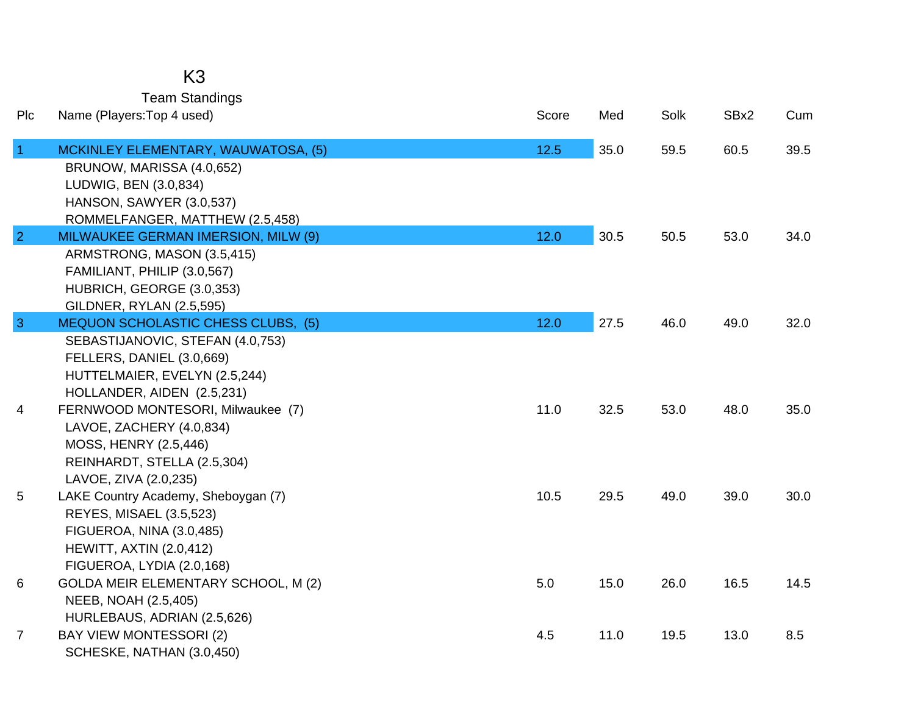## K3

Team Standings

| Plc            | Name (Players: Top 4 used)                | Score | Med  | Solk | SBx2 | Cum  |
|----------------|-------------------------------------------|-------|------|------|------|------|
| $\overline{1}$ | MCKINLEY ELEMENTARY, WAUWATOSA, (5)       | 12.5  | 35.0 | 59.5 | 60.5 | 39.5 |
|                | BRUNOW, MARISSA (4.0,652)                 |       |      |      |      |      |
|                | LUDWIG, BEN (3.0,834)                     |       |      |      |      |      |
|                | HANSON, SAWYER (3.0,537)                  |       |      |      |      |      |
|                | ROMMELFANGER, MATTHEW (2.5,458)           |       |      |      |      |      |
| $\overline{2}$ | MILWAUKEE GERMAN IMERSION, MILW (9)       | 12.0  | 30.5 | 50.5 | 53.0 | 34.0 |
|                | ARMSTRONG, MASON (3.5,415)                |       |      |      |      |      |
|                | FAMILIANT, PHILIP (3.0,567)               |       |      |      |      |      |
|                | HUBRICH, GEORGE (3.0,353)                 |       |      |      |      |      |
|                | GILDNER, RYLAN (2.5,595)                  |       |      |      |      |      |
| $\overline{3}$ | <b>MEQUON SCHOLASTIC CHESS CLUBS, (5)</b> | 12.0  | 27.5 | 46.0 | 49.0 | 32.0 |
|                | SEBASTIJANOVIC, STEFAN (4.0,753)          |       |      |      |      |      |
|                | FELLERS, DANIEL (3.0,669)                 |       |      |      |      |      |
|                | HUTTELMAIER, EVELYN (2.5,244)             |       |      |      |      |      |
|                | HOLLANDER, AIDEN (2.5,231)                |       |      |      |      |      |
| 4              | FERNWOOD MONTESORI, Milwaukee (7)         | 11.0  | 32.5 | 53.0 | 48.0 | 35.0 |
|                | LAVOE, ZACHERY (4.0,834)                  |       |      |      |      |      |
|                | MOSS, HENRY (2.5,446)                     |       |      |      |      |      |
|                | REINHARDT, STELLA (2.5,304)               |       |      |      |      |      |
|                | LAVOE, ZIVA (2.0,235)                     |       |      |      |      |      |
| 5              | LAKE Country Academy, Sheboygan (7)       | 10.5  | 29.5 | 49.0 | 39.0 | 30.0 |
|                | REYES, MISAEL (3.5,523)                   |       |      |      |      |      |
|                | FIGUEROA, NINA (3.0,485)                  |       |      |      |      |      |
|                | <b>HEWITT, AXTIN (2.0,412)</b>            |       |      |      |      |      |
|                | FIGUEROA, LYDIA (2.0,168)                 |       |      |      |      |      |
| 6              | GOLDA MEIR ELEMENTARY SCHOOL, M (2)       | 5.0   | 15.0 | 26.0 | 16.5 | 14.5 |
|                | NEEB, NOAH (2.5,405)                      |       |      |      |      |      |
|                | HURLEBAUS, ADRIAN (2.5,626)               |       |      |      |      |      |
| $\overline{7}$ | <b>BAY VIEW MONTESSORI (2)</b>            | 4.5   | 11.0 | 19.5 | 13.0 | 8.5  |
|                | SCHESKE, NATHAN (3.0,450)                 |       |      |      |      |      |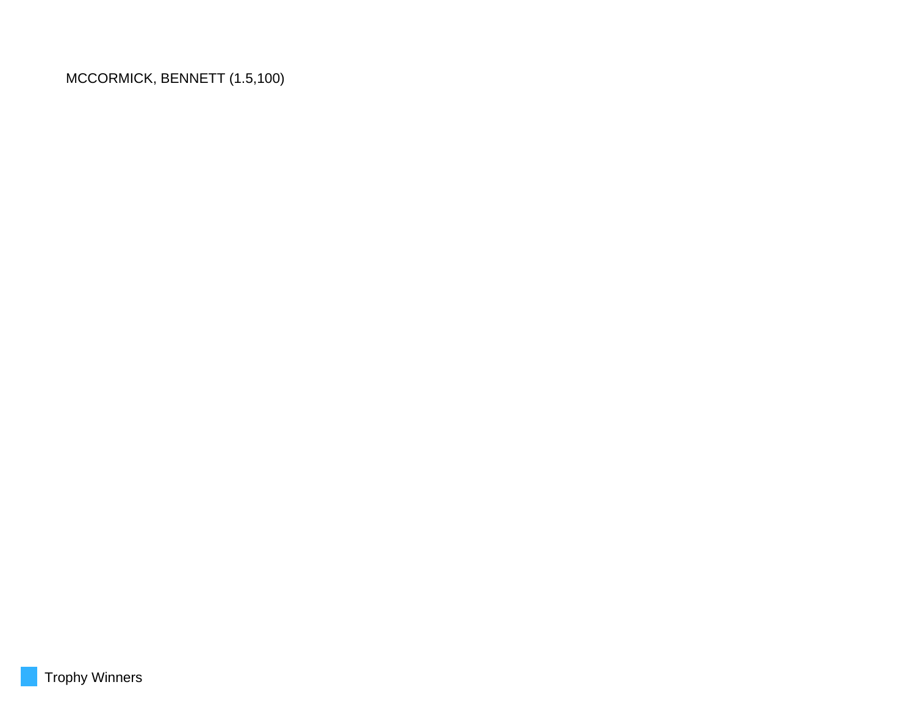MCCORMICK, BENNETT (1.5,100)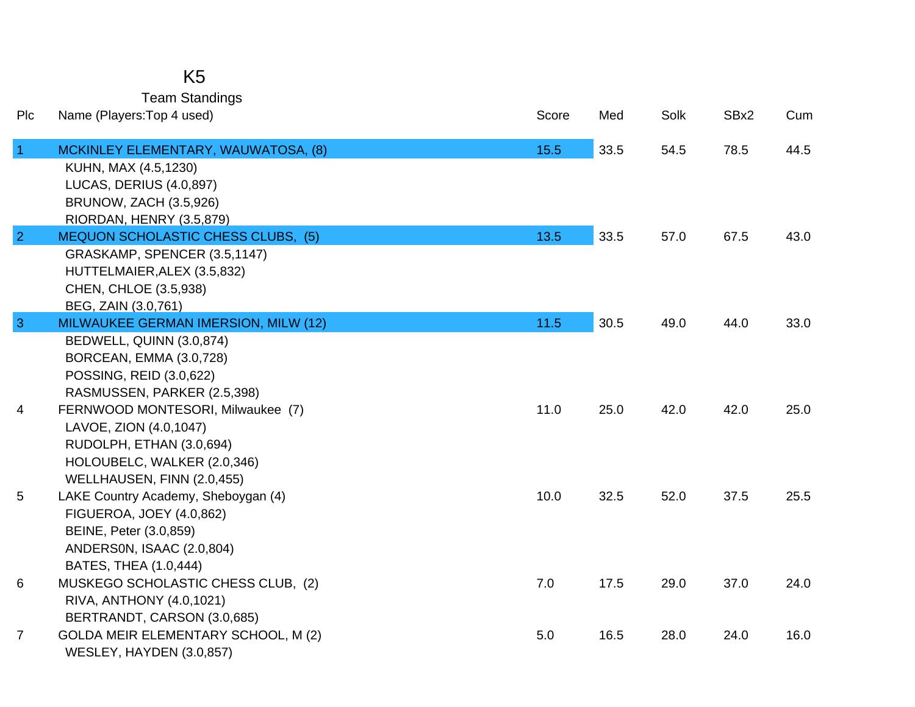## K5

Team Standings

| Plc             | Name (Players: Top 4 used)                         | Score | Med  | Solk | SBx2 | Cum  |
|-----------------|----------------------------------------------------|-------|------|------|------|------|
| $\overline{1}$  | MCKINLEY ELEMENTARY, WAUWATOSA, (8)                | 15.5  | 33.5 | 54.5 | 78.5 | 44.5 |
|                 | KUHN, MAX (4.5,1230)                               |       |      |      |      |      |
|                 | LUCAS, DERIUS (4.0,897)                            |       |      |      |      |      |
|                 | <b>BRUNOW, ZACH (3.5,926)</b>                      |       |      |      |      |      |
|                 | RIORDAN, HENRY (3.5,879)                           |       |      |      |      |      |
| $\overline{2}$  | <b>MEQUON SCHOLASTIC CHESS CLUBS, (5)</b>          | 13.5  | 33.5 | 57.0 | 67.5 | 43.0 |
|                 | GRASKAMP, SPENCER (3.5,1147)                       |       |      |      |      |      |
|                 | HUTTELMAIER, ALEX (3.5,832)                        |       |      |      |      |      |
|                 | CHEN, CHLOE (3.5,938)                              |       |      |      |      |      |
|                 | BEG, ZAIN (3.0,761)                                |       |      |      |      |      |
| $\overline{3}$  | MILWAUKEE GERMAN IMERSION, MILW (12)               | 11.5  | 30.5 | 49.0 | 44.0 | 33.0 |
|                 | BEDWELL, QUINN (3.0,874)                           |       |      |      |      |      |
|                 | BORCEAN, EMMA (3.0,728)                            |       |      |      |      |      |
|                 | POSSING, REID (3.0,622)                            |       |      |      |      |      |
|                 | RASMUSSEN, PARKER (2.5,398)                        |       |      |      |      |      |
| 4               | FERNWOOD MONTESORI, Milwaukee (7)                  | 11.0  | 25.0 | 42.0 | 42.0 | 25.0 |
|                 | LAVOE, ZION (4.0,1047)                             |       |      |      |      |      |
|                 | RUDOLPH, ETHAN (3.0,694)                           |       |      |      |      |      |
|                 | HOLOUBELC, WALKER (2.0,346)                        |       |      |      |      |      |
|                 | WELLHAUSEN, FINN (2.0,455)                         |       |      |      |      |      |
| $5\phantom{.0}$ | LAKE Country Academy, Sheboygan (4)                | 10.0  | 32.5 | 52.0 | 37.5 | 25.5 |
|                 | <b>FIGUEROA, JOEY (4.0,862)</b>                    |       |      |      |      |      |
|                 | BEINE, Peter (3.0,859)                             |       |      |      |      |      |
|                 | ANDERSON, ISAAC (2.0,804)<br>BATES, THEA (1.0,444) |       |      |      |      |      |
|                 | MUSKEGO SCHOLASTIC CHESS CLUB, (2)                 | 7.0   | 17.5 | 29.0 | 37.0 | 24.0 |
| 6               | RIVA, ANTHONY (4.0,1021)                           |       |      |      |      |      |
|                 | BERTRANDT, CARSON (3.0,685)                        |       |      |      |      |      |
| $\overline{7}$  | GOLDA MEIR ELEMENTARY SCHOOL, M (2)                | 5.0   | 16.5 | 28.0 | 24.0 | 16.0 |
|                 | WESLEY, HAYDEN (3.0,857)                           |       |      |      |      |      |
|                 |                                                    |       |      |      |      |      |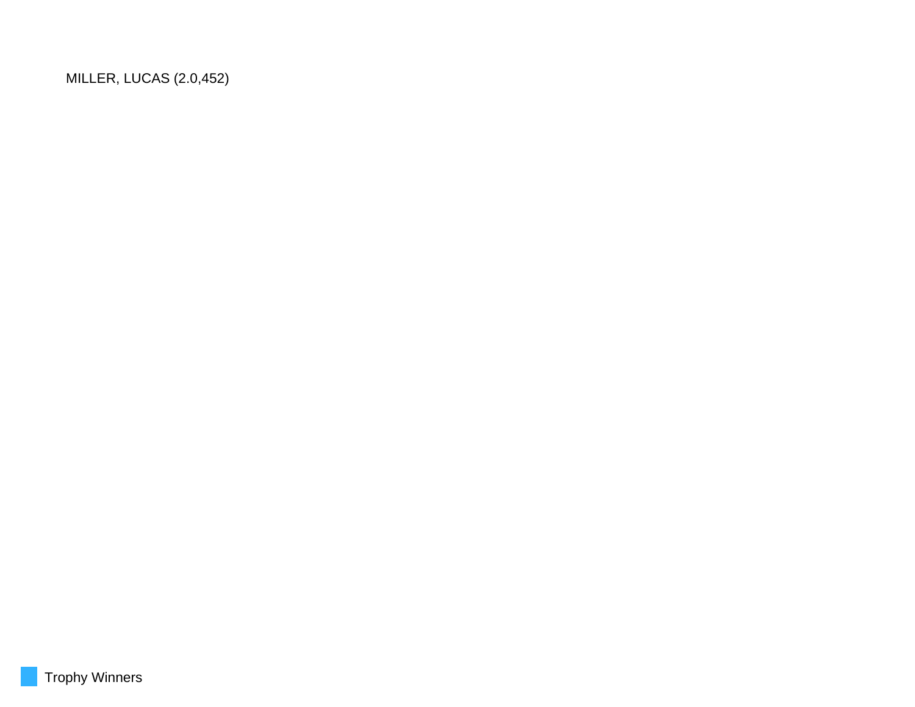MILLER, LUCAS (2.0,452)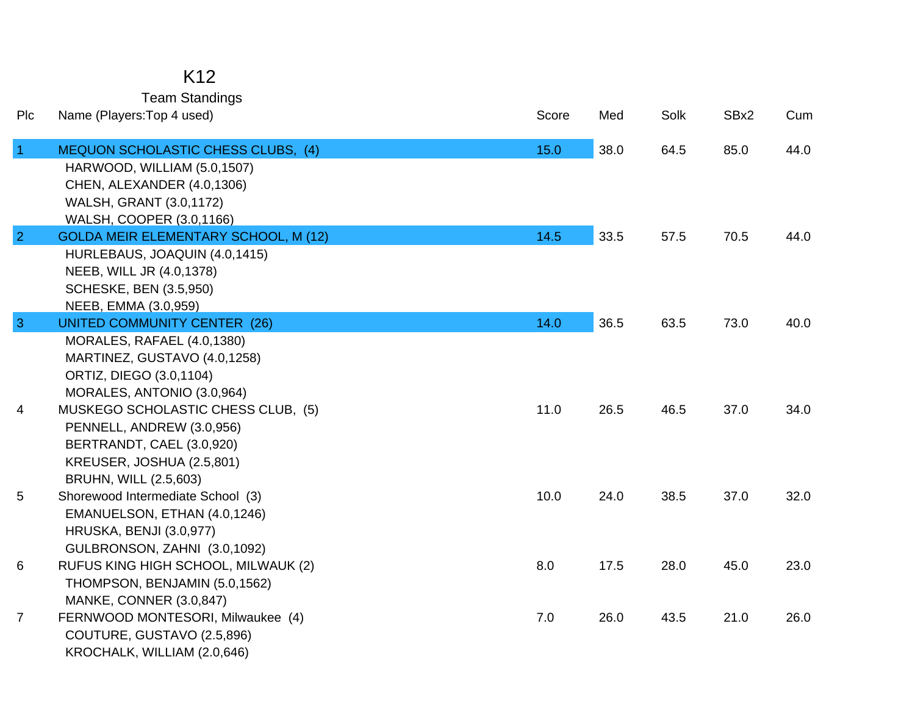### K12

Team Standings

| Plc            | Name (Players: Top 4 used)                                 | Score | Med  | Solk | SBx2 | Cum  |
|----------------|------------------------------------------------------------|-------|------|------|------|------|
| $\vert$ 1      | <b>MEQUON SCHOLASTIC CHESS CLUBS, (4)</b>                  | 15.0  | 38.0 | 64.5 | 85.0 | 44.0 |
|                | HARWOOD, WILLIAM (5.0,1507)                                |       |      |      |      |      |
|                | CHEN, ALEXANDER (4.0,1306)                                 |       |      |      |      |      |
|                | <b>WALSH, GRANT (3.0,1172)</b>                             |       |      |      |      |      |
|                | WALSH, COOPER (3.0,1166)                                   |       |      |      |      |      |
| $\overline{2}$ | <b>GOLDA MEIR ELEMENTARY SCHOOL, M (12)</b>                | 14.5  | 33.5 | 57.5 | 70.5 | 44.0 |
|                | HURLEBAUS, JOAQUIN (4.0,1415)                              |       |      |      |      |      |
|                | NEEB, WILL JR (4.0,1378)                                   |       |      |      |      |      |
|                | <b>SCHESKE, BEN (3.5,950)</b>                              |       |      |      |      |      |
|                | NEEB, EMMA (3.0,959)                                       |       |      |      |      |      |
| $\mathbf{3}$   | <b>UNITED COMMUNITY CENTER (26)</b>                        | 14.0  | 36.5 | 63.5 | 73.0 | 40.0 |
|                | MORALES, RAFAEL (4.0,1380)<br>MARTINEZ, GUSTAVO (4.0,1258) |       |      |      |      |      |
|                | ORTIZ, DIEGO (3.0,1104)                                    |       |      |      |      |      |
|                | MORALES, ANTONIO (3.0,964)                                 |       |      |      |      |      |
| 4              | MUSKEGO SCHOLASTIC CHESS CLUB, (5)                         | 11.0  | 26.5 | 46.5 | 37.0 | 34.0 |
|                | PENNELL, ANDREW (3.0,956)                                  |       |      |      |      |      |
|                | BERTRANDT, CAEL (3.0,920)                                  |       |      |      |      |      |
|                | KREUSER, JOSHUA (2.5,801)                                  |       |      |      |      |      |
|                | BRUHN, WILL (2.5,603)                                      |       |      |      |      |      |
| 5              | Shorewood Intermediate School (3)                          | 10.0  | 24.0 | 38.5 | 37.0 | 32.0 |
|                | EMANUELSON, ETHAN (4.0,1246)                               |       |      |      |      |      |
|                | <b>HRUSKA, BENJI (3.0,977)</b>                             |       |      |      |      |      |
|                | GULBRONSON, ZAHNI (3.0,1092)                               |       |      |      |      |      |
| 6              | RUFUS KING HIGH SCHOOL, MILWAUK (2)                        | 8.0   | 17.5 | 28.0 | 45.0 | 23.0 |
|                | THOMPSON, BENJAMIN (5.0,1562)                              |       |      |      |      |      |
|                | MANKE, CONNER (3.0,847)                                    |       |      |      |      |      |
| $\overline{7}$ | FERNWOOD MONTESORI, Milwaukee (4)                          | 7.0   | 26.0 | 43.5 | 21.0 | 26.0 |
|                | COUTURE, GUSTAVO (2.5,896)                                 |       |      |      |      |      |
|                | KROCHALK, WILLIAM (2.0,646)                                |       |      |      |      |      |